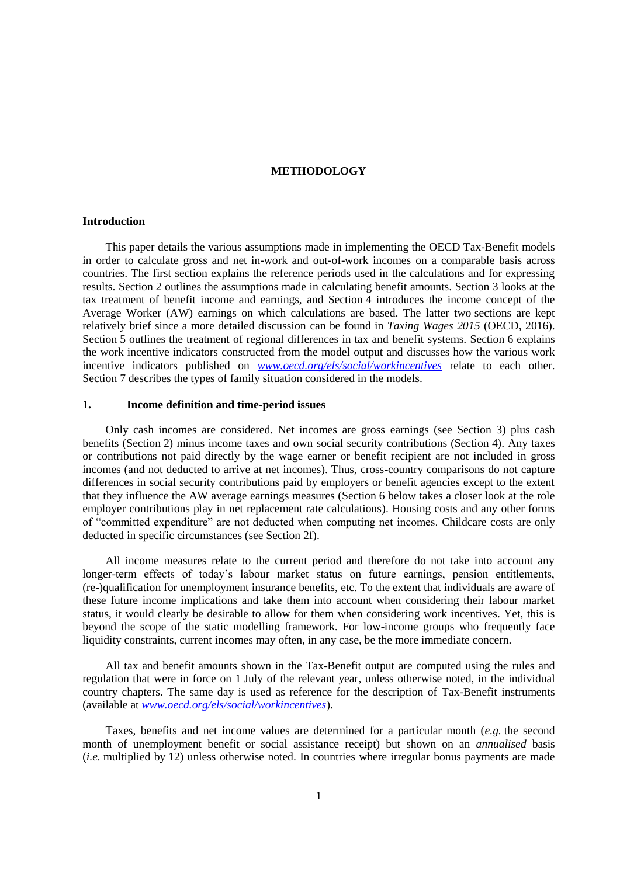## **METHODOLOGY**

## **Introduction**

This paper details the various assumptions made in implementing the OECD Tax-Benefit models in order to calculate gross and net in-work and out-of-work incomes on a comparable basis across countries. The first section explains the reference periods used in the calculations and for expressing results. Section 2 outlines the assumptions made in calculating benefit amounts. Section 3 looks at the tax treatment of benefit income and earnings, and Section 4 introduces the income concept of the Average Worker (AW) earnings on which calculations are based. The latter two sections are kept relatively brief since a more detailed discussion can be found in *Taxing Wages 2015* (OECD, 2016). Section 5 outlines the treatment of regional differences in tax and benefit systems. Section 6 explains the work incentive indicators constructed from the model output and discusses how the various work incentive indicators published on *[www.oecd.org/els/social/workincentives](http://www.oecd.org/els/social/workincentives)* relate to each other. Section 7 describes the types of family situation considered in the models.

# **1. Income definition and time-period issues**

Only cash incomes are considered. Net incomes are gross earnings (see Section 3) plus cash benefits (Section 2) minus income taxes and own social security contributions (Section 4). Any taxes or contributions not paid directly by the wage earner or benefit recipient are not included in gross incomes (and not deducted to arrive at net incomes). Thus, cross-country comparisons do not capture differences in social security contributions paid by employers or benefit agencies except to the extent that they influence the AW average earnings measures (Section 6 below takes a closer look at the role employer contributions play in net replacement rate calculations). Housing costs and any other forms of "committed expenditure" are not deducted when computing net incomes. Childcare costs are only deducted in specific circumstances (see Section 2f).

All income measures relate to the current period and therefore do not take into account any longer-term effects of today's labour market status on future earnings, pension entitlements, (re-)qualification for unemployment insurance benefits, etc. To the extent that individuals are aware of these future income implications and take them into account when considering their labour market status, it would clearly be desirable to allow for them when considering work incentives. Yet, this is beyond the scope of the static modelling framework. For low-income groups who frequently face liquidity constraints, current incomes may often, in any case, be the more immediate concern.

All tax and benefit amounts shown in the Tax-Benefit output are computed using the rules and regulation that were in force on 1 July of the relevant year, unless otherwise noted, in the individual country chapters. The same day is used as reference for the description of Tax-Benefit instruments (available at *[www.oecd.org/els/social/workincentives](http://www.oecd.org/els/social/workincentives)*).

Taxes, benefits and net income values are determined for a particular month (*e.g.* the second month of unemployment benefit or social assistance receipt) but shown on an *annualised* basis (*i.e.* multiplied by 12) unless otherwise noted. In countries where irregular bonus payments are made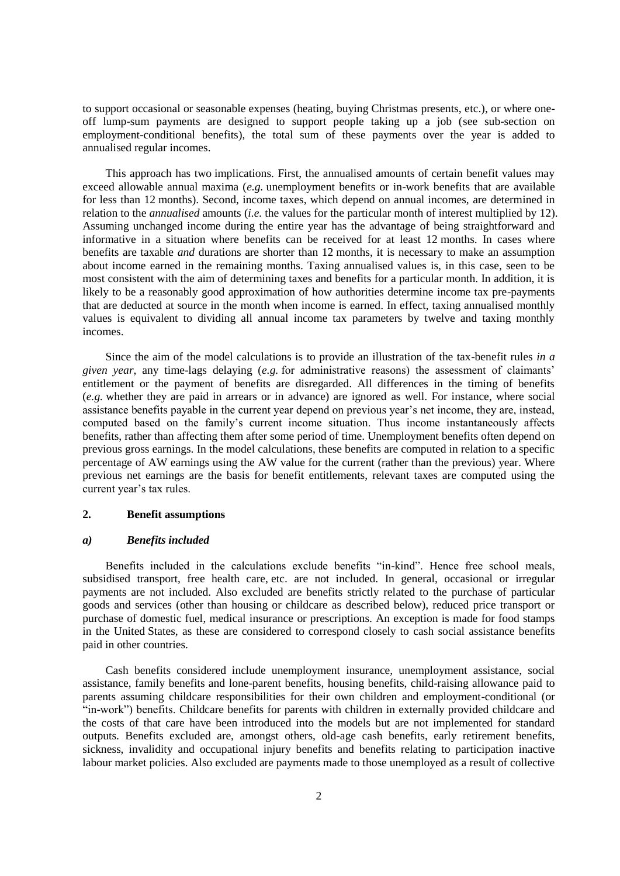to support occasional or seasonable expenses (heating, buying Christmas presents, etc.), or where oneoff lump-sum payments are designed to support people taking up a job (see sub-section on employment-conditional benefits), the total sum of these payments over the year is added to annualised regular incomes.

This approach has two implications. First, the annualised amounts of certain benefit values may exceed allowable annual maxima (*e.g.* unemployment benefits or in-work benefits that are available for less than 12 months). Second, income taxes, which depend on annual incomes, are determined in relation to the *annualised* amounts (*i.e.* the values for the particular month of interest multiplied by 12). Assuming unchanged income during the entire year has the advantage of being straightforward and informative in a situation where benefits can be received for at least 12 months. In cases where benefits are taxable *and* durations are shorter than 12 months, it is necessary to make an assumption about income earned in the remaining months. Taxing annualised values is, in this case, seen to be most consistent with the aim of determining taxes and benefits for a particular month. In addition, it is likely to be a reasonably good approximation of how authorities determine income tax pre-payments that are deducted at source in the month when income is earned. In effect, taxing annualised monthly values is equivalent to dividing all annual income tax parameters by twelve and taxing monthly incomes.

Since the aim of the model calculations is to provide an illustration of the tax-benefit rules *in a given year*, any time-lags delaying (*e.g.* for administrative reasons) the assessment of claimants' entitlement or the payment of benefits are disregarded. All differences in the timing of benefits (*e.g.* whether they are paid in arrears or in advance) are ignored as well. For instance, where social assistance benefits payable in the current year depend on previous year's net income, they are, instead, computed based on the family's current income situation. Thus income instantaneously affects benefits, rather than affecting them after some period of time. Unemployment benefits often depend on previous gross earnings. In the model calculations, these benefits are computed in relation to a specific percentage of AW earnings using the AW value for the current (rather than the previous) year. Where previous net earnings are the basis for benefit entitlements, relevant taxes are computed using the current year's tax rules.

## **2. Benefit assumptions**

#### *a) Benefits included*

Benefits included in the calculations exclude benefits "in-kind". Hence free school meals, subsidised transport, free health care, etc. are not included. In general, occasional or irregular payments are not included. Also excluded are benefits strictly related to the purchase of particular goods and services (other than housing or childcare as described below), reduced price transport or purchase of domestic fuel, medical insurance or prescriptions. An exception is made for food stamps in the United States, as these are considered to correspond closely to cash social assistance benefits paid in other countries.

Cash benefits considered include unemployment insurance, unemployment assistance, social assistance, family benefits and lone-parent benefits, housing benefits, child-raising allowance paid to parents assuming childcare responsibilities for their own children and employment-conditional (or "in-work") benefits. Childcare benefits for parents with children in externally provided childcare and the costs of that care have been introduced into the models but are not implemented for standard outputs. Benefits excluded are, amongst others, old-age cash benefits, early retirement benefits, sickness, invalidity and occupational injury benefits and benefits relating to participation inactive labour market policies. Also excluded are payments made to those unemployed as a result of collective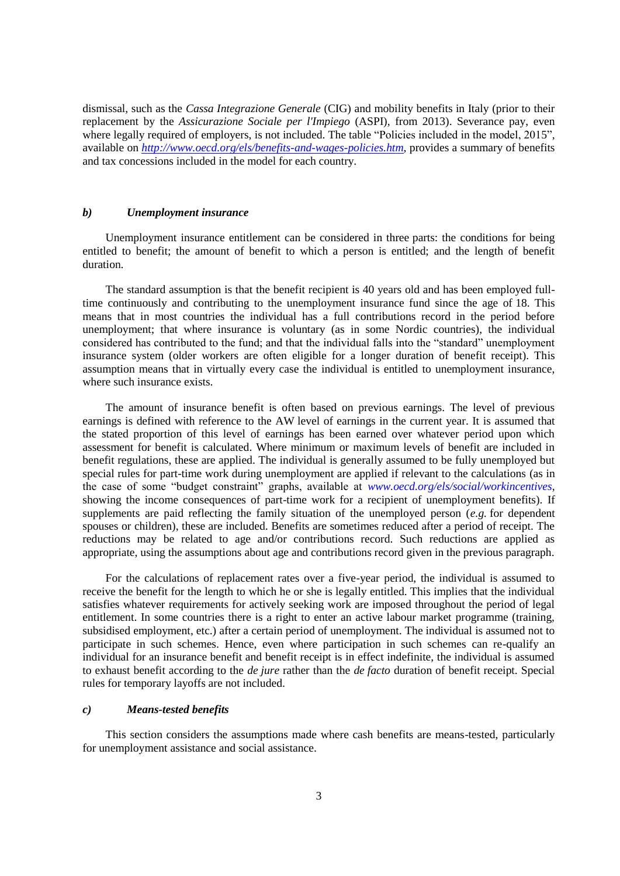dismissal, such as the *Cassa Integrazione Generale* (CIG) and mobility benefits in Italy (prior to their replacement by the *Assicurazione Sociale per l'Impiego* (ASPI), from 2013). Severance pay, even where legally required of employers, is not included. The table "Policies included in the model, 2015", available on *<http://www.oecd.org/els/benefits-and-wages-policies.htm>*, provides a summary of benefits and tax concessions included in the model for each country.

# *b) Unemployment insurance*

Unemployment insurance entitlement can be considered in three parts: the conditions for being entitled to benefit; the amount of benefit to which a person is entitled; and the length of benefit duration.

The standard assumption is that the benefit recipient is 40 years old and has been employed fulltime continuously and contributing to the unemployment insurance fund since the age of 18. This means that in most countries the individual has a full contributions record in the period before unemployment; that where insurance is voluntary (as in some Nordic countries), the individual considered has contributed to the fund; and that the individual falls into the "standard" unemployment insurance system (older workers are often eligible for a longer duration of benefit receipt). This assumption means that in virtually every case the individual is entitled to unemployment insurance, where such insurance exists.

The amount of insurance benefit is often based on previous earnings. The level of previous earnings is defined with reference to the AW level of earnings in the current year. It is assumed that the stated proportion of this level of earnings has been earned over whatever period upon which assessment for benefit is calculated. Where minimum or maximum levels of benefit are included in benefit regulations, these are applied. The individual is generally assumed to be fully unemployed but special rules for part-time work during unemployment are applied if relevant to the calculations (as in the case of some "budget constraint" graphs, available at *[www.oecd.org/els/social/workincentives](http://www.oecd.org/els/social/workincentives)*, showing the income consequences of part-time work for a recipient of unemployment benefits). If supplements are paid reflecting the family situation of the unemployed person (*e.g.* for dependent spouses or children), these are included. Benefits are sometimes reduced after a period of receipt. The reductions may be related to age and/or contributions record. Such reductions are applied as appropriate, using the assumptions about age and contributions record given in the previous paragraph.

For the calculations of replacement rates over a five-year period, the individual is assumed to receive the benefit for the length to which he or she is legally entitled. This implies that the individual satisfies whatever requirements for actively seeking work are imposed throughout the period of legal entitlement. In some countries there is a right to enter an active labour market programme (training, subsidised employment, etc.) after a certain period of unemployment. The individual is assumed not to participate in such schemes. Hence, even where participation in such schemes can re-qualify an individual for an insurance benefit and benefit receipt is in effect indefinite, the individual is assumed to exhaust benefit according to the *de jure* rather than the *de facto* duration of benefit receipt. Special rules for temporary layoffs are not included.

#### *c) Means-tested benefits*

This section considers the assumptions made where cash benefits are means-tested, particularly for unemployment assistance and social assistance.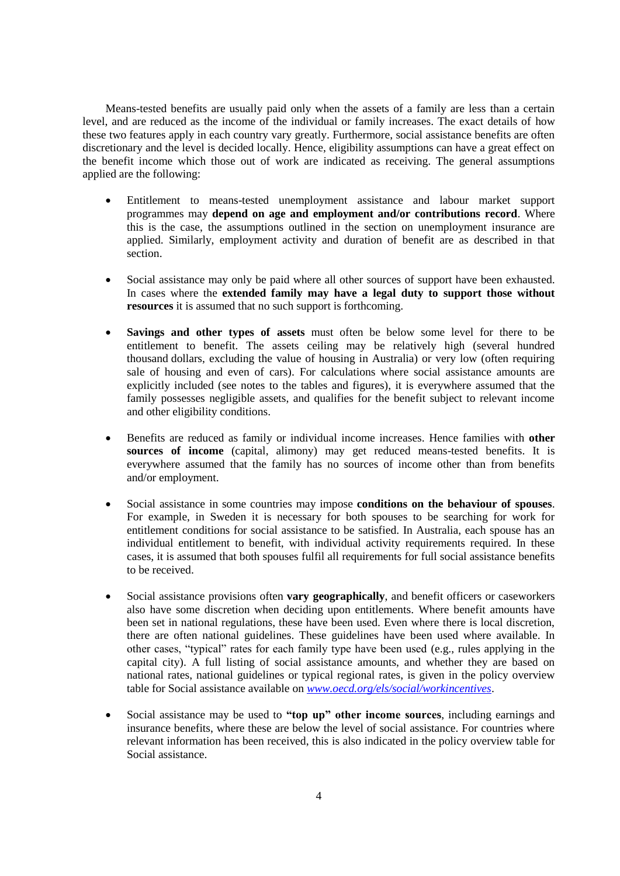Means-tested benefits are usually paid only when the assets of a family are less than a certain level, and are reduced as the income of the individual or family increases. The exact details of how these two features apply in each country vary greatly. Furthermore, social assistance benefits are often discretionary and the level is decided locally. Hence, eligibility assumptions can have a great effect on the benefit income which those out of work are indicated as receiving. The general assumptions applied are the following:

- Entitlement to means-tested unemployment assistance and labour market support programmes may **depend on age and employment and/or contributions record**. Where this is the case, the assumptions outlined in the section on unemployment insurance are applied. Similarly, employment activity and duration of benefit are as described in that section.
- Social assistance may only be paid where all other sources of support have been exhausted. In cases where the **extended family may have a legal duty to support those without resources** it is assumed that no such support is forthcoming.
- **Savings and other types of assets** must often be below some level for there to be entitlement to benefit. The assets ceiling may be relatively high (several hundred thousand dollars, excluding the value of housing in Australia) or very low (often requiring sale of housing and even of cars). For calculations where social assistance amounts are explicitly included (see notes to the tables and figures), it is everywhere assumed that the family possesses negligible assets, and qualifies for the benefit subject to relevant income and other eligibility conditions.
- Benefits are reduced as family or individual income increases. Hence families with **other sources of income** (capital, alimony) may get reduced means-tested benefits. It is everywhere assumed that the family has no sources of income other than from benefits and/or employment.
- Social assistance in some countries may impose **conditions on the behaviour of spouses**. For example, in Sweden it is necessary for both spouses to be searching for work for entitlement conditions for social assistance to be satisfied. In Australia, each spouse has an individual entitlement to benefit, with individual activity requirements required. In these cases, it is assumed that both spouses fulfil all requirements for full social assistance benefits to be received.
- Social assistance provisions often **vary geographically**, and benefit officers or caseworkers also have some discretion when deciding upon entitlements. Where benefit amounts have been set in national regulations, these have been used. Even where there is local discretion, there are often national guidelines. These guidelines have been used where available. In other cases, "typical" rates for each family type have been used (e.g., rules applying in the capital city). A full listing of social assistance amounts, and whether they are based on national rates, national guidelines or typical regional rates, is given in the policy overview table for Social assistance available on *[www.oecd.org/els/social/workincentives](http://www.oecd.org/els/social/workincentives)*.
- Social assistance may be used to **"top up" other income sources**, including earnings and insurance benefits, where these are below the level of social assistance. For countries where relevant information has been received, this is also indicated in the policy overview table for Social assistance.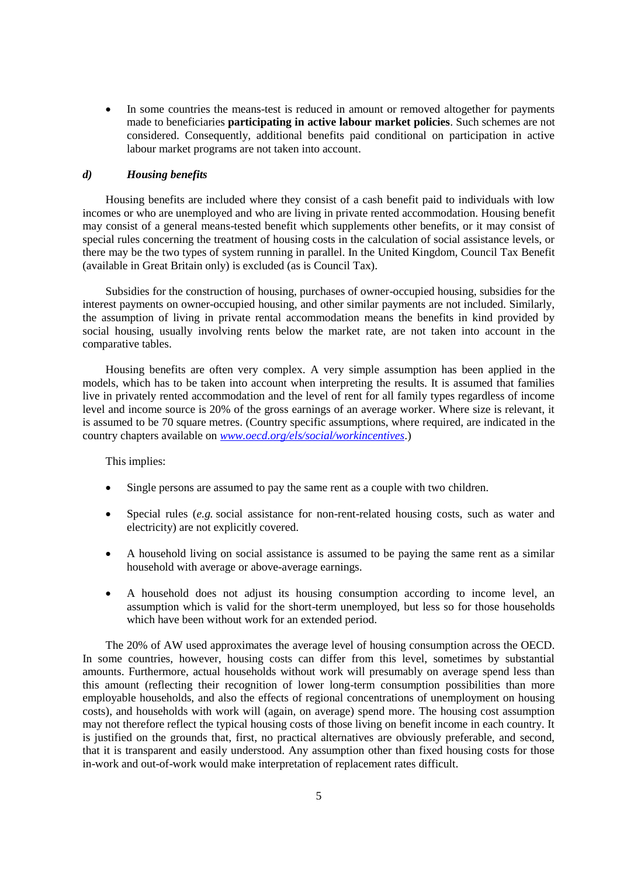In some countries the means-test is reduced in amount or removed altogether for payments made to beneficiaries **participating in active labour market policies**. Such schemes are not considered. Consequently, additional benefits paid conditional on participation in active labour market programs are not taken into account.

## *d) Housing benefits*

Housing benefits are included where they consist of a cash benefit paid to individuals with low incomes or who are unemployed and who are living in private rented accommodation. Housing benefit may consist of a general means-tested benefit which supplements other benefits, or it may consist of special rules concerning the treatment of housing costs in the calculation of social assistance levels, or there may be the two types of system running in parallel. In the United Kingdom, Council Tax Benefit (available in Great Britain only) is excluded (as is Council Tax).

Subsidies for the construction of housing, purchases of owner-occupied housing, subsidies for the interest payments on owner-occupied housing, and other similar payments are not included. Similarly, the assumption of living in private rental accommodation means the benefits in kind provided by social housing, usually involving rents below the market rate, are not taken into account in the comparative tables.

Housing benefits are often very complex. A very simple assumption has been applied in the models, which has to be taken into account when interpreting the results. It is assumed that families live in privately rented accommodation and the level of rent for all family types regardless of income level and income source is 20% of the gross earnings of an average worker. Where size is relevant, it is assumed to be 70 square metres. (Country specific assumptions, where required, are indicated in the country chapters available on *[www.oecd.org/els/social/workincentives](http://www.oecd.org/els/social/workincentives)*.)

This implies:

- Single persons are assumed to pay the same rent as a couple with two children.
- Special rules (*e.g.* social assistance for non-rent-related housing costs, such as water and electricity) are not explicitly covered.
- A household living on social assistance is assumed to be paying the same rent as a similar household with average or above-average earnings.
- A household does not adjust its housing consumption according to income level, an assumption which is valid for the short-term unemployed, but less so for those households which have been without work for an extended period.

The 20% of AW used approximates the average level of housing consumption across the OECD. In some countries, however, housing costs can differ from this level, sometimes by substantial amounts. Furthermore, actual households without work will presumably on average spend less than this amount (reflecting their recognition of lower long-term consumption possibilities than more employable households, and also the effects of regional concentrations of unemployment on housing costs), and households with work will (again, on average) spend more. The housing cost assumption may not therefore reflect the typical housing costs of those living on benefit income in each country. It is justified on the grounds that, first, no practical alternatives are obviously preferable, and second, that it is transparent and easily understood. Any assumption other than fixed housing costs for those in-work and out-of-work would make interpretation of replacement rates difficult.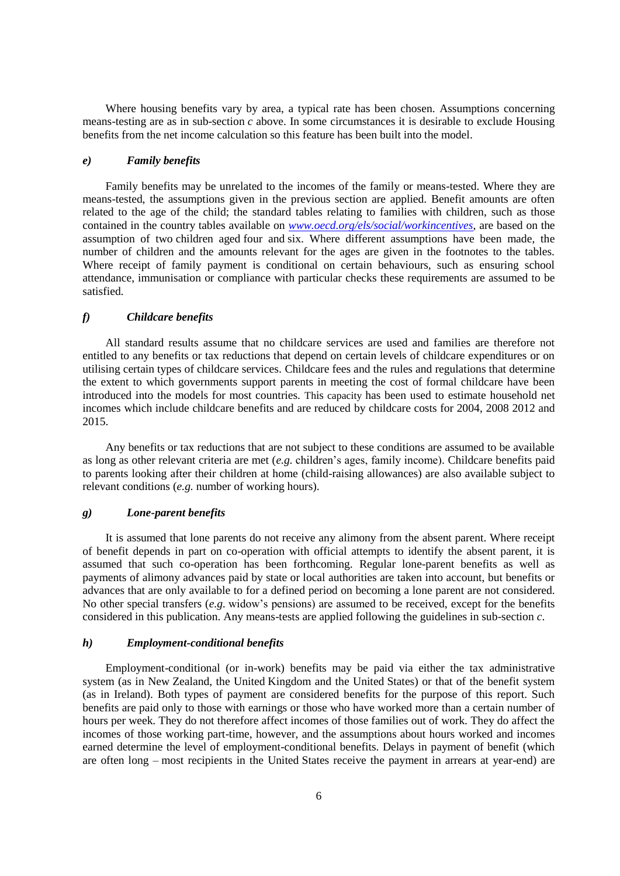Where housing benefits vary by area, a typical rate has been chosen. Assumptions concerning means-testing are as in sub-section *c* above. In some circumstances it is desirable to exclude Housing benefits from the net income calculation so this feature has been built into the model.

## *e) Family benefits*

Family benefits may be unrelated to the incomes of the family or means-tested. Where they are means-tested, the assumptions given in the previous section are applied. Benefit amounts are often related to the age of the child; the standard tables relating to families with children, such as those contained in the country tables available on *[www.oecd.org/els/social/workincentives](http://www.oecd.org/els/social/workincentives)*, are based on the assumption of two children aged four and six. Where different assumptions have been made, the number of children and the amounts relevant for the ages are given in the footnotes to the tables. Where receipt of family payment is conditional on certain behaviours, such as ensuring school attendance, immunisation or compliance with particular checks these requirements are assumed to be satisfied.

### *f) Childcare benefits*

All standard results assume that no childcare services are used and families are therefore not entitled to any benefits or tax reductions that depend on certain levels of childcare expenditures or on utilising certain types of childcare services. Childcare fees and the rules and regulations that determine the extent to which governments support parents in meeting the cost of formal childcare have been introduced into the models for most countries. This capacity has been used to estimate household net incomes which include childcare benefits and are reduced by childcare costs for 2004, 2008 2012 and 2015.

Any benefits or tax reductions that are not subject to these conditions are assumed to be available as long as other relevant criteria are met (*e.g.* children's ages, family income). Childcare benefits paid to parents looking after their children at home (child-raising allowances) are also available subject to relevant conditions (*e.g.* number of working hours).

## *g) Lone-parent benefits*

It is assumed that lone parents do not receive any alimony from the absent parent. Where receipt of benefit depends in part on co-operation with official attempts to identify the absent parent, it is assumed that such co-operation has been forthcoming. Regular lone-parent benefits as well as payments of alimony advances paid by state or local authorities are taken into account, but benefits or advances that are only available to for a defined period on becoming a lone parent are not considered. No other special transfers (*e.g.* widow's pensions) are assumed to be received, except for the benefits considered in this publication. Any means-tests are applied following the guidelines in sub-section *c*.

# *h) Employment-conditional benefits*

Employment-conditional (or in-work) benefits may be paid via either the tax administrative system (as in New Zealand, the United Kingdom and the United States) or that of the benefit system (as in Ireland). Both types of payment are considered benefits for the purpose of this report. Such benefits are paid only to those with earnings or those who have worked more than a certain number of hours per week. They do not therefore affect incomes of those families out of work. They do affect the incomes of those working part-time, however, and the assumptions about hours worked and incomes earned determine the level of employment-conditional benefits. Delays in payment of benefit (which are often long – most recipients in the United States receive the payment in arrears at year-end) are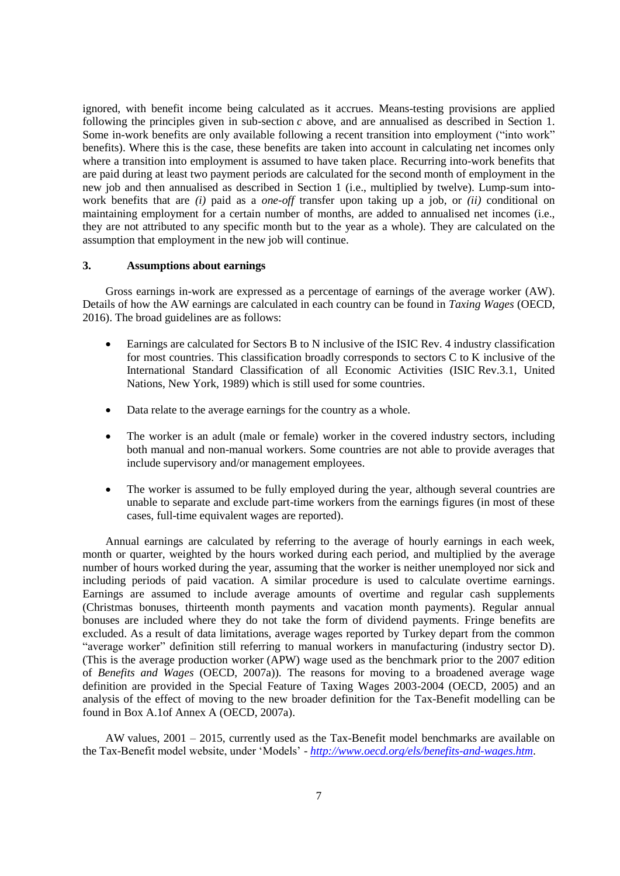ignored, with benefit income being calculated as it accrues. Means-testing provisions are applied following the principles given in sub-section *c* above, and are annualised as described in Section 1. Some in-work benefits are only available following a recent transition into employment ("into work" benefits). Where this is the case, these benefits are taken into account in calculating net incomes only where a transition into employment is assumed to have taken place. Recurring into-work benefits that are paid during at least two payment periods are calculated for the second month of employment in the new job and then annualised as described in Section 1 (i.e., multiplied by twelve). Lump-sum intowork benefits that are *(i)* paid as a *one-off* transfer upon taking up a job, or *(ii)* conditional on maintaining employment for a certain number of months, are added to annualised net incomes (i.e., they are not attributed to any specific month but to the year as a whole). They are calculated on the assumption that employment in the new job will continue.

## **3. Assumptions about earnings**

Gross earnings in-work are expressed as a percentage of earnings of the average worker (AW). Details of how the AW earnings are calculated in each country can be found in *Taxing Wages* (OECD, 2016). The broad guidelines are as follows:

- Earnings are calculated for Sectors B to N inclusive of the ISIC Rev. 4 industry classification for most countries. This classification broadly corresponds to sectors C to K inclusive of the International Standard Classification of all Economic Activities (ISIC Rev.3.1, United Nations, New York, 1989) which is still used for some countries.
- Data relate to the average earnings for the country as a whole.
- The worker is an adult (male or female) worker in the covered industry sectors, including both manual and non-manual workers. Some countries are not able to provide averages that include supervisory and/or management employees.
- The worker is assumed to be fully employed during the year, although several countries are unable to separate and exclude part-time workers from the earnings figures (in most of these cases, full-time equivalent wages are reported).

Annual earnings are calculated by referring to the average of hourly earnings in each week, month or quarter, weighted by the hours worked during each period, and multiplied by the average number of hours worked during the year, assuming that the worker is neither unemployed nor sick and including periods of paid vacation. A similar procedure is used to calculate overtime earnings. Earnings are assumed to include average amounts of overtime and regular cash supplements (Christmas bonuses, thirteenth month payments and vacation month payments). Regular annual bonuses are included where they do not take the form of dividend payments. Fringe benefits are excluded. As a result of data limitations, average wages reported by Turkey depart from the common "average worker" definition still referring to manual workers in manufacturing (industry sector D). (This is the average production worker (APW) wage used as the benchmark prior to the 2007 edition of *Benefits and Wages* (OECD, 2007a))*.* The reasons for moving to a broadened average wage definition are provided in the Special Feature of Taxing Wages 2003-2004 (OECD, 2005) and an analysis of the effect of moving to the new broader definition for the Tax-Benefit modelling can be found in Box A.1of Annex A (OECD, 2007a).

AW values, 2001 – 2015, currently used as the Tax-Benefit model benchmarks are available on the Tax-Benefit model website, under 'Models' - *<http://www.oecd.org/els/benefits-and-wages.htm>*.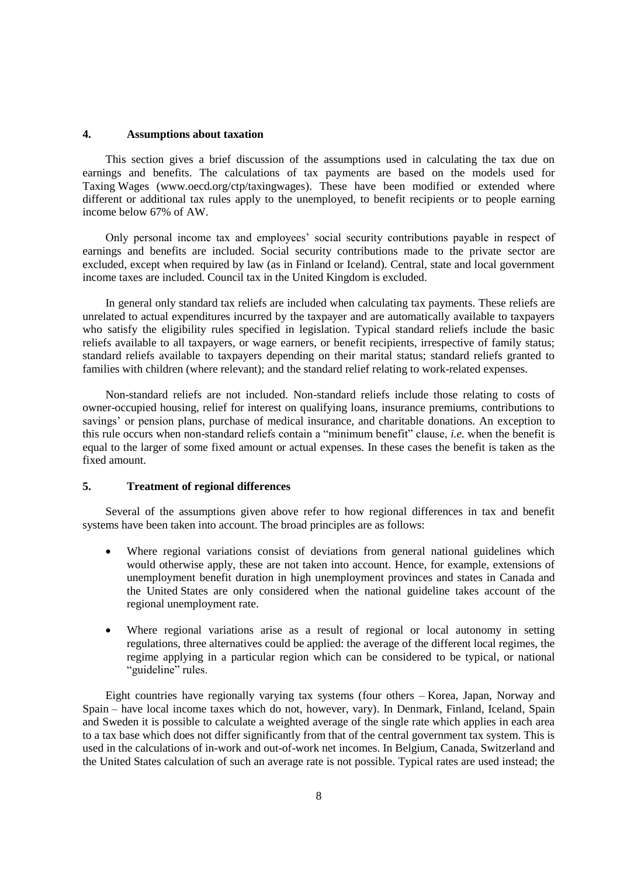## **4. Assumptions about taxation**

This section gives a brief discussion of the assumptions used in calculating the tax due on earnings and benefits. The calculations of tax payments are based on the models used for Taxing Wages [\(www.oecd.org/ctp/taxingwages\)](http://www.oecd.org/ctp/taxingwages). These have been modified or extended where different or additional tax rules apply to the unemployed, to benefit recipients or to people earning income below 67% of AW.

Only personal income tax and employees' social security contributions payable in respect of earnings and benefits are included. Social security contributions made to the private sector are excluded, except when required by law (as in Finland or Iceland). Central, state and local government income taxes are included. Council tax in the United Kingdom is excluded.

In general only standard tax reliefs are included when calculating tax payments. These reliefs are unrelated to actual expenditures incurred by the taxpayer and are automatically available to taxpayers who satisfy the eligibility rules specified in legislation. Typical standard reliefs include the basic reliefs available to all taxpayers, or wage earners, or benefit recipients, irrespective of family status; standard reliefs available to taxpayers depending on their marital status; standard reliefs granted to families with children (where relevant); and the standard relief relating to work-related expenses.

Non-standard reliefs are not included. Non-standard reliefs include those relating to costs of owner-occupied housing, relief for interest on qualifying loans, insurance premiums, contributions to savings' or pension plans, purchase of medical insurance, and charitable donations. An exception to this rule occurs when non-standard reliefs contain a "minimum benefit" clause, *i.e.* when the benefit is equal to the larger of some fixed amount or actual expenses. In these cases the benefit is taken as the fixed amount.

# **5. Treatment of regional differences**

Several of the assumptions given above refer to how regional differences in tax and benefit systems have been taken into account. The broad principles are as follows:

- Where regional variations consist of deviations from general national guidelines which would otherwise apply, these are not taken into account. Hence, for example, extensions of unemployment benefit duration in high unemployment provinces and states in Canada and the United States are only considered when the national guideline takes account of the regional unemployment rate.
- Where regional variations arise as a result of regional or local autonomy in setting regulations, three alternatives could be applied: the average of the different local regimes, the regime applying in a particular region which can be considered to be typical, or national "guideline" rules.

Eight countries have regionally varying tax systems (four others – Korea, Japan, Norway and Spain – have local income taxes which do not, however, vary). In Denmark, Finland, Iceland, Spain and Sweden it is possible to calculate a weighted average of the single rate which applies in each area to a tax base which does not differ significantly from that of the central government tax system. This is used in the calculations of in-work and out-of-work net incomes. In Belgium, Canada, Switzerland and the United States calculation of such an average rate is not possible. Typical rates are used instead; the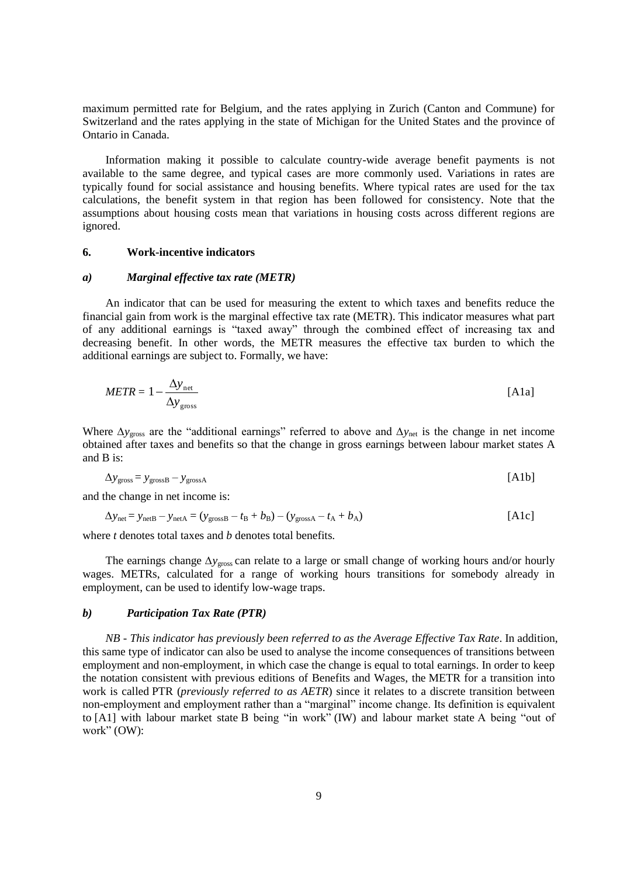maximum permitted rate for Belgium, and the rates applying in Zurich (Canton and Commune) for Switzerland and the rates applying in the state of Michigan for the United States and the province of Ontario in Canada.

Information making it possible to calculate country-wide average benefit payments is not available to the same degree, and typical cases are more commonly used. Variations in rates are typically found for social assistance and housing benefits. Where typical rates are used for the tax calculations, the benefit system in that region has been followed for consistency. Note that the assumptions about housing costs mean that variations in housing costs across different regions are ignored.

## **6. Work-incentive indicators**

#### *a) Marginal effective tax rate (METR)*

An indicator that can be used for measuring the extent to which taxes and benefits reduce the financial gain from work is the marginal effective tax rate (METR). This indicator measures what part of any additional earnings is "taxed away" through the combined effect of increasing tax and decreasing benefit. In other words, the METR measures the effective tax burden to which the additional earnings are subject to. Formally, we have:

$$
METR = 1 - \frac{\Delta y_{net}}{\Delta y_{gross}}
$$
 [A1a]

Where *∆y<sub>gross</sub>* are the "additional earnings" referred to above and  $\Delta y_{net}$  is the change in net income obtained after taxes and benefits so that the change in gross earnings between labour market states A and B is:

$$
\Delta y_{\text{gross}} = y_{\text{grossB}} - y_{\text{grossA}} \tag{A1b}
$$

and the change in net income is:

$$
\Delta y_{\text{net}} = y_{\text{netB}} - y_{\text{netA}} = (y_{\text{grossB}} - t_{\text{B}} + b_{\text{B}}) - (y_{\text{grossA}} - t_{\text{A}} + b_{\text{A}})
$$
\n[A1c]

where *t* denotes total taxes and *b* denotes total benefits.

The earnings change  $\Delta y_{\text{gross}}$  can relate to a large or small change of working hours and/or hourly wages. METRs, calculated for a range of working hours transitions for somebody already in employment, can be used to identify low-wage traps.

## *b) Participation Tax Rate (PTR)*

*NB - This indicator has previously been referred to as the Average Effective Tax Rate*. In addition, this same type of indicator can also be used to analyse the income consequences of transitions between employment and non-employment, in which case the change is equal to total earnings. In order to keep the notation consistent with previous editions of Benefits and Wages, the METR for a transition into work is called PTR (*previously referred to as AETR*) since it relates to a discrete transition between non-employment and employment rather than a "marginal" income change. Its definition is equivalent to [A1] with labour market state B being "in work" (IW) and labour market state A being "out of work" (OW):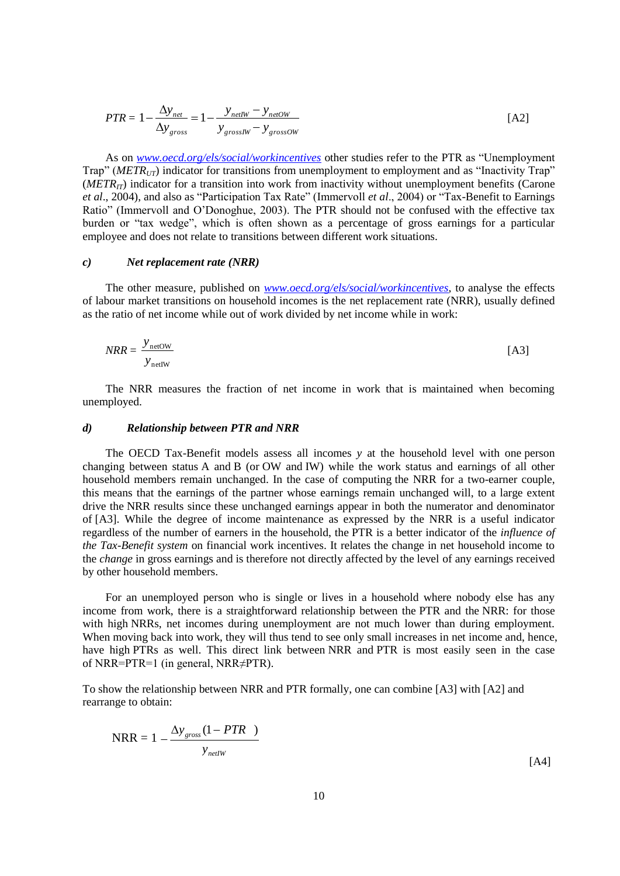$$
PTR = 1 - \frac{\Delta y_{net}}{\Delta y_{gross}} = 1 - \frac{y_{netIW} - y_{netOW}}{y_{grossIW} - y_{grossOW}}
$$
 [A2]

As on *[www.oecd.org/els/social/workincentives](http://www.oecd.org/els/social/workincentives)* other studies refer to the PTR as "Unemployment Trap" (*METR<sub>UT</sub>*) indicator for transitions from unemployment to employment and as "Inactivity Trap"  $(METR<sub>IT</sub>)$  indicator for a transition into work from inactivity without unemployment benefits (Carone *et al*., 2004), and also as "Participation Tax Rate" (Immervoll *et al*., 2004) or "Tax-Benefit to Earnings Ratio" (Immervoll and O'Donoghue, 2003). The PTR should not be confused with the effective tax burden or "tax wedge", which is often shown as a percentage of gross earnings for a particular employee and does not relate to transitions between different work situations.

#### *c) Net replacement rate (NRR)*

The other measure, published on *[www.oecd.org/els/social/workincentives](http://www.oecd.org/els/social/workincentives)*, to analyse the effects of labour market transitions on household incomes is the net replacement rate (NRR), usually defined as the ratio of net income while out of work divided by net income while in work:

$$
NRR = \frac{y_{\text{netOW}}}{y_{\text{netIW}}}
$$
 [A3]

The NRR measures the fraction of net income in work that is maintained when becoming unemployed.

#### *d) Relationship between PTR and NRR*

The OECD Tax-Benefit models assess all incomes *y* at the household level with one person changing between status A and B (or OW and IW) while the work status and earnings of all other household members remain unchanged. In the case of computing the NRR for a two-earner couple, this means that the earnings of the partner whose earnings remain unchanged will, to a large extent drive the NRR results since these unchanged earnings appear in both the numerator and denominator of [A3]. While the degree of income maintenance as expressed by the NRR is a useful indicator regardless of the number of earners in the household, the PTR is a better indicator of the *influence of the Tax-Benefit system* on financial work incentives. It relates the change in net household income to the *change* in gross earnings and is therefore not directly affected by the level of any earnings received by other household members.

For an unemployed person who is single or lives in a household where nobody else has any income from work, there is a straightforward relationship between the PTR and the NRR: for those with high NRRs, net incomes during unemployment are not much lower than during employment. When moving back into work, they will thus tend to see only small increases in net income and, hence, have high PTRs as well. This direct link between NRR and PTR is most easily seen in the case of NRR=PTR=1 (in general, NRR≠PTR).

To show the relationship between NRR and PTR formally, one can combine [A3] with [A2] and rearrange to obtain:

$$
NRR = 1 - \frac{\Delta y_{\text{gross}} (1 - PTR)}{y_{\text{neilW}}}
$$
 [A4]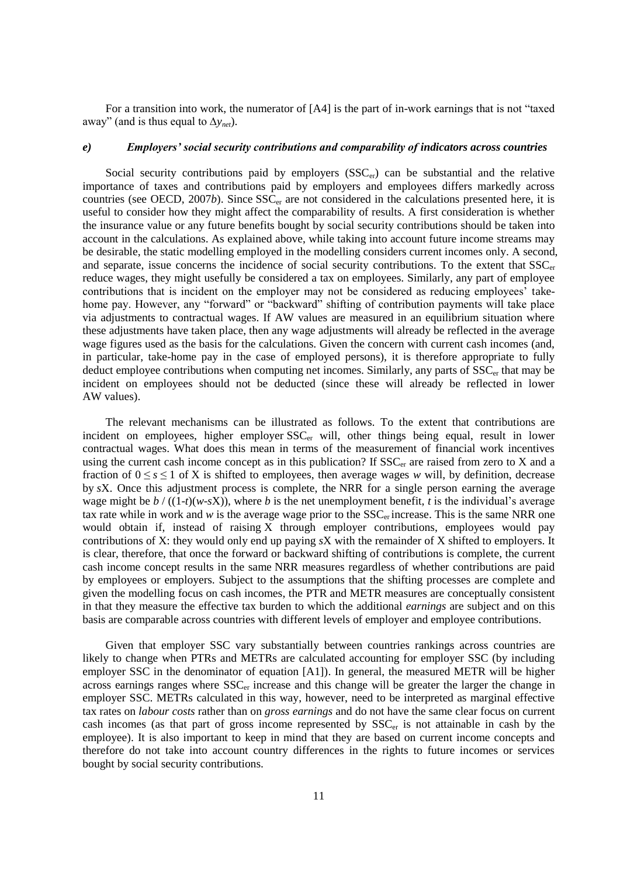For a transition into work, the numerator of [A4] is the part of in-work earnings that is not "taxed away" (and is thus equal to  $\Delta y_{net}$ ).

## *e) Employers' social security contributions and comparability of indicators across countries*

Social security contributions paid by employers  $(SSC<sub>er</sub>)$  can be substantial and the relative importance of taxes and contributions paid by employers and employees differs markedly across countries (see OECD,  $2007b$ ). Since  $SSC_{er}$  are not considered in the calculations presented here, it is useful to consider how they might affect the comparability of results. A first consideration is whether the insurance value or any future benefits bought by social security contributions should be taken into account in the calculations. As explained above, while taking into account future income streams may be desirable, the static modelling employed in the modelling considers current incomes only. A second, and separate, issue concerns the incidence of social security contributions. To the extent that  $SSC_{er}$ reduce wages, they might usefully be considered a tax on employees. Similarly, any part of employee contributions that is incident on the employer may not be considered as reducing employees' takehome pay. However, any "forward" or "backward" shifting of contribution payments will take place via adjustments to contractual wages. If AW values are measured in an equilibrium situation where these adjustments have taken place, then any wage adjustments will already be reflected in the average wage figures used as the basis for the calculations. Given the concern with current cash incomes (and, in particular, take-home pay in the case of employed persons), it is therefore appropriate to fully deduct employee contributions when computing net incomes. Similarly, any parts of  $SSC<sub>er</sub>$  that may be incident on employees should not be deducted (since these will already be reflected in lower AW values).

The relevant mechanisms can be illustrated as follows. To the extent that contributions are incident on employees, higher employer  $SSC_{er}$  will, other things being equal, result in lower contractual wages. What does this mean in terms of the measurement of financial work incentives using the current cash income concept as in this publication? If  $SSC<sub>er</sub>$  are raised from zero to X and a fraction of  $0 \le s \le 1$  of X is shifted to employees, then average wages *w* will, by definition, decrease by *s*X. Once this adjustment process is complete, the NRR for a single person earning the average wage might be  $b$  / ((1-*t*)(*w*-*sX*)), where *b* is the net unemployment benefit, *t* is the individual's average tax rate while in work and  $w$  is the average wage prior to the  $SSC_{er}$  increase. This is the same NRR one would obtain if, instead of raising X through employer contributions, employees would pay contributions of X: they would only end up paying *s*X with the remainder of X shifted to employers. It is clear, therefore, that once the forward or backward shifting of contributions is complete, the current cash income concept results in the same NRR measures regardless of whether contributions are paid by employees or employers. Subject to the assumptions that the shifting processes are complete and given the modelling focus on cash incomes, the PTR and METR measures are conceptually consistent in that they measure the effective tax burden to which the additional *earnings* are subject and on this basis are comparable across countries with different levels of employer and employee contributions.

Given that employer SSC vary substantially between countries rankings across countries are likely to change when PTRs and METRs are calculated accounting for employer SSC (by including employer SSC in the denominator of equation [A1]). In general, the measured METR will be higher across earnings ranges where SSCer increase and this change will be greater the larger the change in employer SSC. METRs calculated in this way, however, need to be interpreted as marginal effective tax rates on *labour costs* rather than on *gross earnings* and do not have the same clear focus on current cash incomes (as that part of gross income represented by  $SSC_{er}$  is not attainable in cash by the employee). It is also important to keep in mind that they are based on current income concepts and therefore do not take into account country differences in the rights to future incomes or services bought by social security contributions.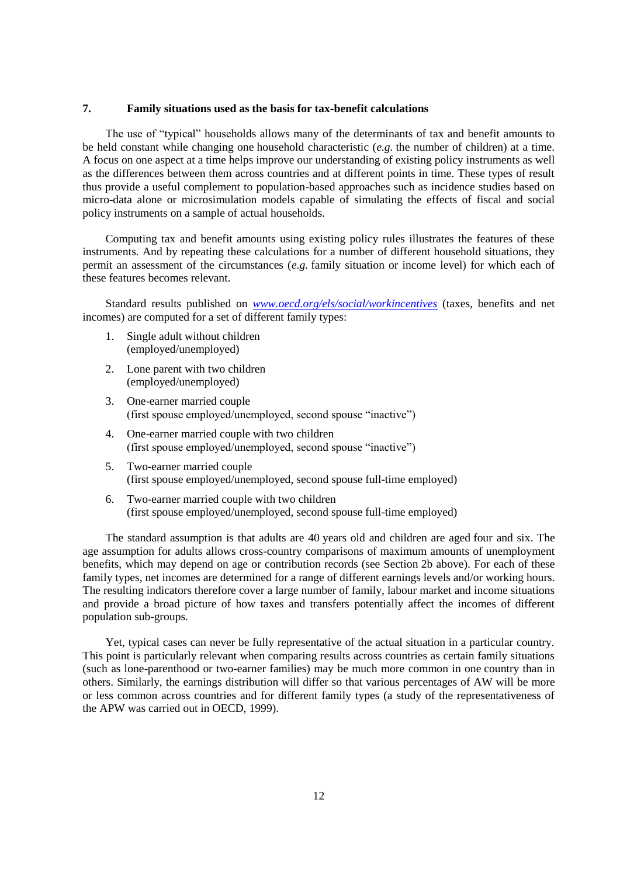# **7. Family situations used as the basis for tax-benefit calculations**

The use of "typical" households allows many of the determinants of tax and benefit amounts to be held constant while changing one household characteristic (*e.g.* the number of children) at a time. A focus on one aspect at a time helps improve our understanding of existing policy instruments as well as the differences between them across countries and at different points in time. These types of result thus provide a useful complement to population-based approaches such as incidence studies based on micro-data alone or microsimulation models capable of simulating the effects of fiscal and social policy instruments on a sample of actual households.

Computing tax and benefit amounts using existing policy rules illustrates the features of these instruments. And by repeating these calculations for a number of different household situations, they permit an assessment of the circumstances (*e.g.* family situation or income level) for which each of these features becomes relevant.

Standard results published on *[www.oecd.org/els/social/workincentives](http://www.oecd.org/els/social/workincentives)* (taxes, benefits and net incomes) are computed for a set of different family types:

- 1. Single adult without children (employed/unemployed)
- 2. Lone parent with two children (employed/unemployed)
- 3. One-earner married couple (first spouse employed/unemployed, second spouse "inactive")
- 4. One-earner married couple with two children (first spouse employed/unemployed, second spouse "inactive")
- 5. Two-earner married couple (first spouse employed/unemployed, second spouse full-time employed)
- 6. Two-earner married couple with two children (first spouse employed/unemployed, second spouse full-time employed)

The standard assumption is that adults are 40 years old and children are aged four and six. The age assumption for adults allows cross-country comparisons of maximum amounts of unemployment benefits, which may depend on age or contribution records (see Section 2b above). For each of these family types, net incomes are determined for a range of different earnings levels and/or working hours. The resulting indicators therefore cover a large number of family, labour market and income situations and provide a broad picture of how taxes and transfers potentially affect the incomes of different population sub-groups.

Yet, typical cases can never be fully representative of the actual situation in a particular country. This point is particularly relevant when comparing results across countries as certain family situations (such as lone-parenthood or two-earner families) may be much more common in one country than in others. Similarly, the earnings distribution will differ so that various percentages of AW will be more or less common across countries and for different family types (a study of the representativeness of the APW was carried out in OECD, 1999).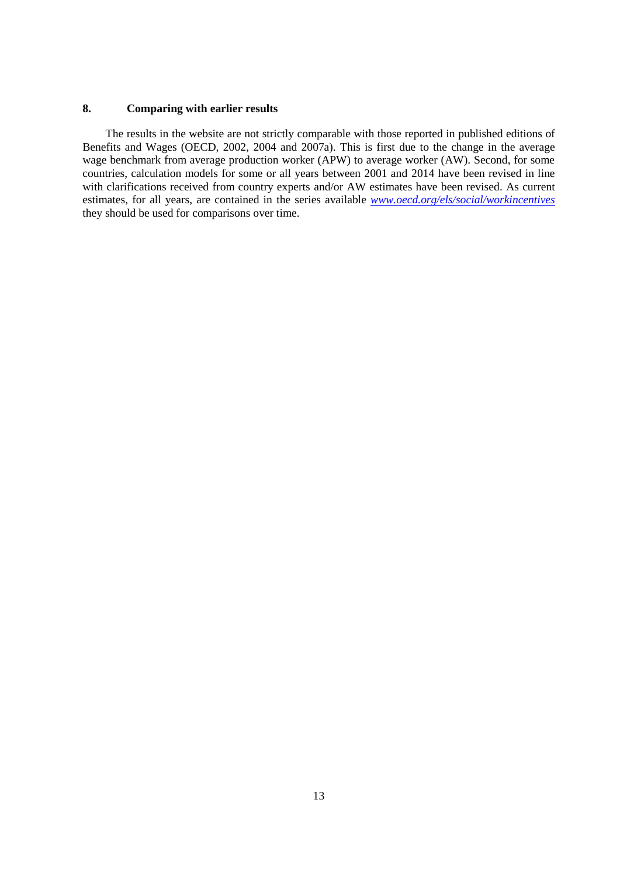## **8. Comparing with earlier results**

The results in the website are not strictly comparable with those reported in published editions of Benefits and Wages (OECD, 2002, 2004 and 2007a). This is first due to the change in the average wage benchmark from average production worker (APW) to average worker (AW). Second, for some countries, calculation models for some or all years between 2001 and 2014 have been revised in line with clarifications received from country experts and/or AW estimates have been revised. As current estimates, for all years, are contained in the series available *[www.oecd.org/els/social/workincentives](http://www.oecd.org/els/social/workincentives)* they should be used for comparisons over time.